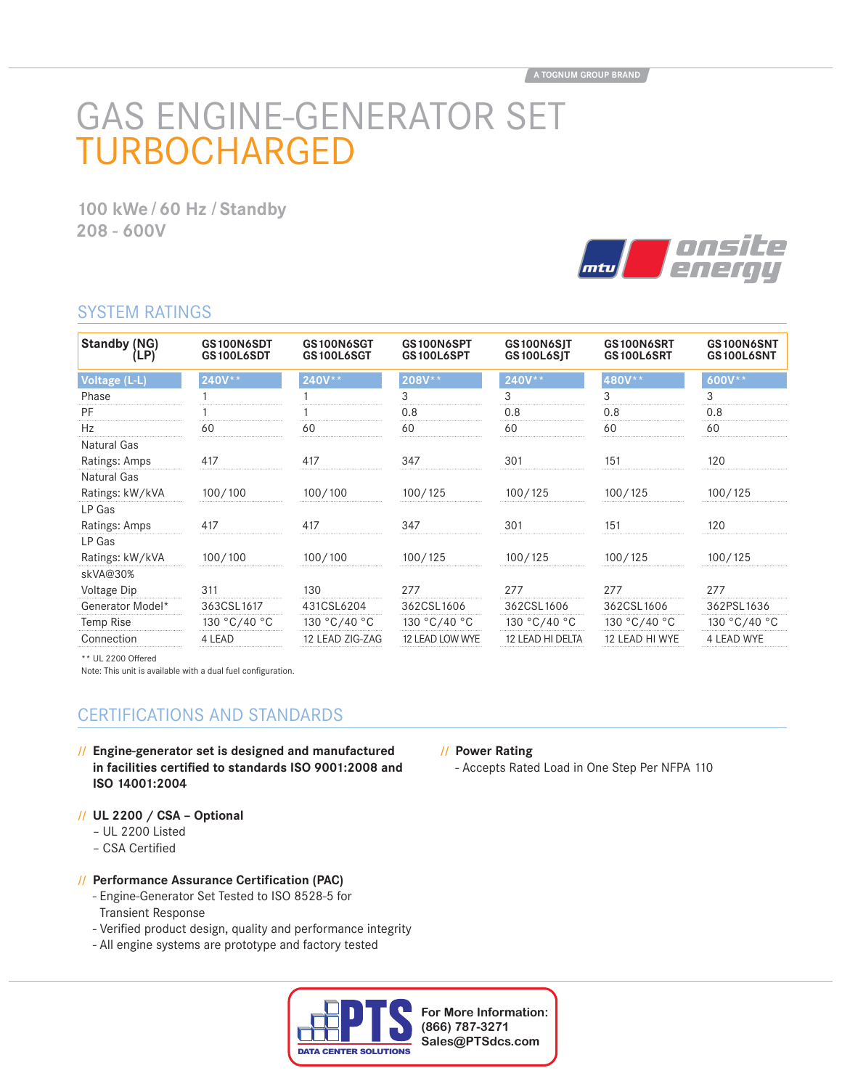# GAS ENGINE-GENERATOR SET TURBOCHARGED

**100 kWe / 60 Hz / Standby 208 - 600V**



## SYSTEM RATINGS

| <b>Standby (NG)</b><br>(LP) | GS100N6SDT<br>GS100L6SDT | GS100N6SGT<br>GS100L6SGT | GS100N6SPT<br>GS100L6SPT | GS100N6SIT<br>GS100L6SJT | GS100N6SRT<br>GS100L6SRT | GS100N6SNT<br>GS100L6SNT |
|-----------------------------|--------------------------|--------------------------|--------------------------|--------------------------|--------------------------|--------------------------|
| Voltage (L-L)               | 240V**                   | 240V**                   | 208V**                   | $240V**$                 | 480V**                   | $600V**$                 |
| Phase                       |                          |                          | 3                        | 3                        | 3                        | 3                        |
| PF                          |                          |                          | 0.8                      | 0.8                      | 0.8                      | 0.8                      |
| Hz                          | 60                       | 60                       | 60                       | 60                       | 60                       | 60                       |
| Natural Gas                 |                          |                          |                          |                          |                          |                          |
| Ratings: Amps               | 417                      | 417                      | 347                      | 301                      | 151                      | 120                      |
| Natural Gas                 |                          |                          |                          |                          |                          |                          |
| Ratings: kW/kVA             | 100/100                  | 100/100                  | 100/125                  | 100/125                  | 100/125                  | 100/125                  |
| LP Gas                      |                          |                          |                          |                          |                          |                          |
| Ratings: Amps               | 417                      | 417                      | 347                      | 301                      | 151                      | 120                      |
| LP Gas                      |                          |                          |                          |                          |                          |                          |
| Ratings: kW/kVA             | 100/100                  | 100/100                  | 100/125                  | 100/125                  | 100/125                  | 100/125                  |
| skVA@30%                    |                          |                          |                          |                          |                          |                          |
| Voltage Dip                 | 311                      | 130                      | 277                      | 277                      | 277                      | 277                      |
| Generator Model*            | 363CSL1617               | 431CSL6204               | 362CSL1606               | 362CSL1606               | 362CSL1606               | 362PSL1636               |
| Temp Rise                   | 130 °C/40 °C             | 130 °C/40 °C             | 130 °C/40 °C             | 130 °C/40 °C             | 130 °C/40 °C             | 130 °C/40 °C             |
| Connection                  | 4 LEAD                   | 12 LEAD ZIG-ZAG          | 12 LEAD LOW WYE          | 12 LEAD HI DELTA         | 12 LEAD HI WYE           | <b>4 LEAD WYE</b>        |

\*\* UL 2200 Offered

Note: This unit is available with a dual fuel configuration.

## CERTIFICATIONS AND STANDARDS

**// Engine-generator set is designed and manufactured**  in facilities certified to standards ISO 9001:2008 and **ISO 14001:2004**

#### **// UL 2200 / CSA – Optional**

- UL 2200 Listed
- CSA Certified

#### **// Performance Assurance Certification (PAC)**

- Engine-Generator Set Tested to ISO 8528-5 for Transient Response
- Verified product design, quality and performance integrity
- All engine systems are prototype and factory tested



# **// Power Rating**

- Accepts Rated Load in One Step Per NFPA 110

**For More Information: (866) 787-3271 Sales@PTSdcs.com**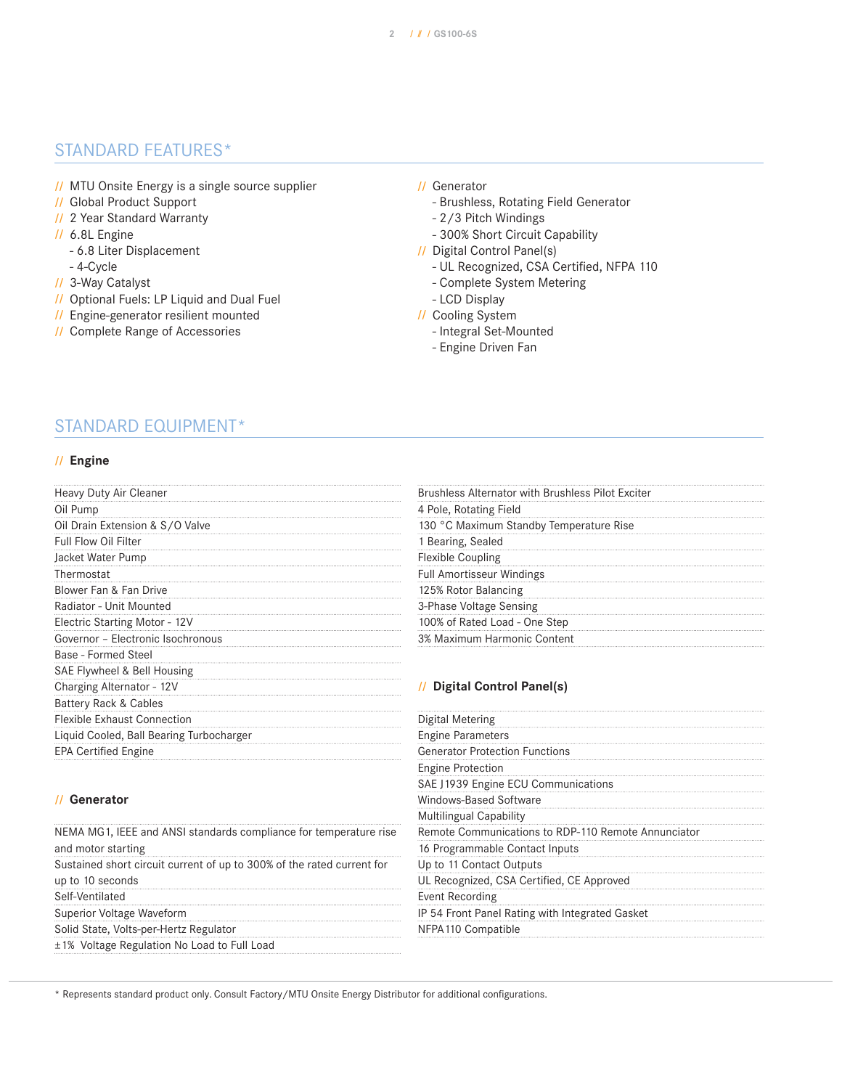## STANDARD FEATURES\*

- **//** MTU Onsite Energy is a single source supplier
- **//** Global Product Support
- **//** 2 Year Standard Warranty
- **//** 6.8L Engine
	- 6.8 Liter Displacement
- 4-Cycle
- **//** 3-Way Catalyst
- **//** Optional Fuels: LP Liquid and Dual Fuel
- **//** Engine-generator resilient mounted
- **//** Complete Range of Accessories

#### **//** Generator

- Brushless, Rotating Field Generator
- 2/3 Pitch Windings
- 300% Short Circuit Capability
- **//** Digital Control Panel(s)
	- UL Recognized, CSA Certified, NFPA 110
	- Complete System Metering
	- LCD Display
- **//** Cooling System
	- Integral Set-Mounted
	- Engine Driven Fan

## STANDARD EQUIPMENT\*

#### **// Engine**

| Heavy Duty Air Cleaner                   | Brushless Alternator with Brushless Pilot Exciter |
|------------------------------------------|---------------------------------------------------|
| Oil Pump                                 | 4 Pole, Rotating Field                            |
| Oil Drain Extension & S/O Valve          | 130 °C Maximum Standby Temperature Rise           |
| Full Flow Oil Filter                     | 1 Bearing, Sealed                                 |
| Jacket Water Pump                        | <b>Flexible Coupling</b>                          |
| Thermostat                               | <b>Full Amortisseur Windings</b>                  |
| Blower Fan & Fan Drive                   | 125% Rotor Balancing                              |
| Radiator - Unit Mounted                  | 3-Phase Voltage Sensing                           |
| Electric Starting Motor - 12V            | 100% of Rated Load - One Step                     |
| Governor - Electronic Isochronous        | 3% Maximum Harmonic Content                       |
| Base - Formed Steel                      |                                                   |
| SAE Flywheel & Bell Housing              |                                                   |
| Charging Alternator - 12V                | // Digital Control Panel(s)                       |
| Battery Rack & Cables                    |                                                   |
| <b>Flexible Exhaust Connection</b>       | Digital Metering                                  |
| Liquid Cooled, Ball Bearing Turbocharger | <b>Engine Parameters</b>                          |
| <b>EPA Certified Engine</b>              | <b>Generator Protection Functions</b>             |
|                                          |                                                   |

#### **// Generator**

| NEMA MG1, IEEE and ANSI standards compliance for temperature rise      |
|------------------------------------------------------------------------|
| and motor starting                                                     |
| Sustained short circuit current of up to 300% of the rated current for |
| up to 10 seconds                                                       |
| Self-Ventilated                                                        |
| Superior Voltage Waveform                                              |
| Solid State, Volts-per-Hertz Regulator                                 |
| ±1% Voltage Regulation No Load to Full Load                            |

## Engine Protection SAE J1939 Engine ECU Communications Windows-Based Software Multilingual Capability Remote Communications to RDP-110 Remote Annunciator 16 Programmable Contact Inputs Up to 11 Contact Outputs UL Recognized, CSA Certified, CE Approved Event Recording IP 54 Front Panel Rating with Integrated Gasket NFPA110 Compatible

\* Represents standard product only. Consult Factory/MTU Onsite Energy Distributor for additional configurations.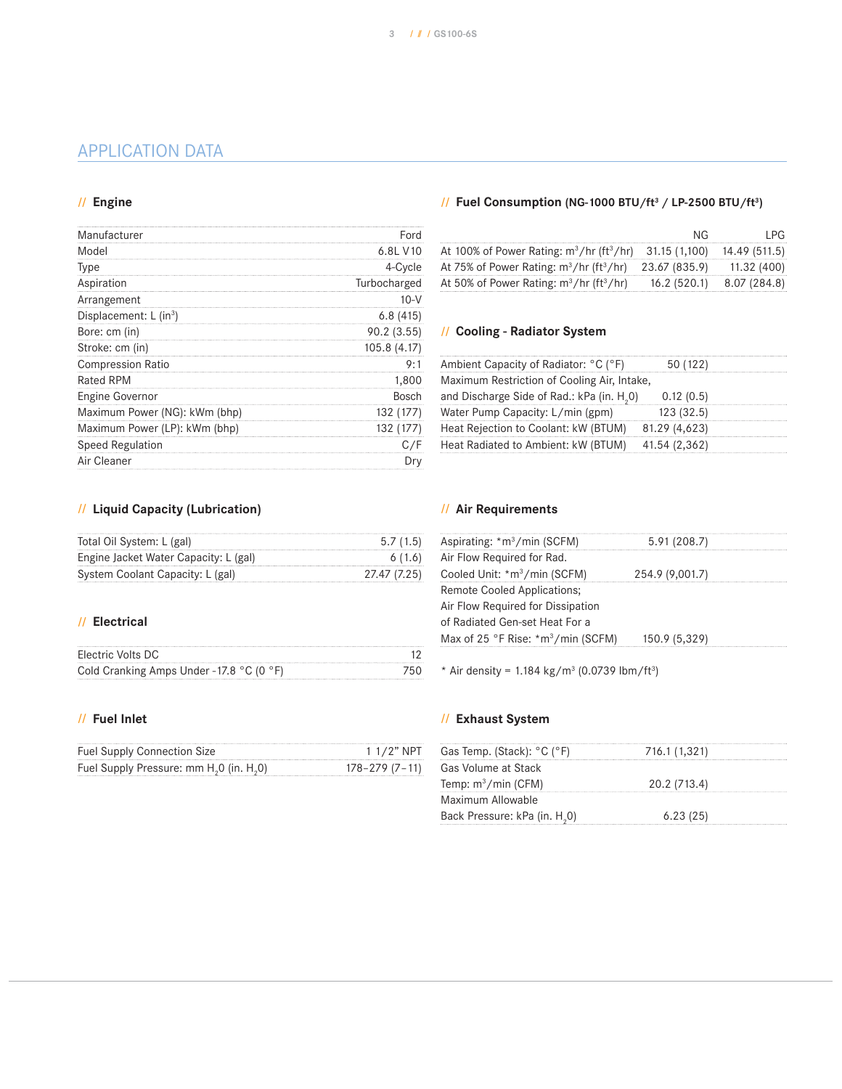## APPLICATION DATA

#### **// Engine**

| Manufacturer                         | Ford         |
|--------------------------------------|--------------|
| Model                                | 6.8L V10     |
| <b>Type</b>                          | 4-Cycle      |
| Aspiration                           | Turbocharged |
| Arrangement                          | 10-V         |
| Displacement: $L$ (in <sup>3</sup> ) | 6.8(415)     |
| Bore: cm (in)                        | 90.2(3.55)   |
| Stroke: cm (in)                      | 105.8 (4.17) |
| <b>Compression Ratio</b>             | 9:1          |
| <b>Rated RPM</b>                     | 1,800        |
| <b>Engine Governor</b>               | Bosch        |
| Maximum Power (NG): kWm (bhp)        | 132 (177)    |
| Maximum Power (LP): kWm (bhp)        | 132 (177)    |
| <b>Speed Regulation</b>              | C/F          |
| Air Cleaner                          | Dry          |

#### **// Liquid Capacity (Lubrication)**

| Total Oil System: L (gal)             | 5.7(1.5)     |
|---------------------------------------|--------------|
| Engine Jacket Water Capacity: L (gal) | 6(1.6)       |
| System Coolant Capacity: L (gal)      | 27.47 (7.25) |

#### **// Electrical**

| Electric Volts DC                        |  |
|------------------------------------------|--|
| Cold Cranking Amps Under -17.8 °C (0 °F) |  |

#### **// Fuel Inlet**

| <b>Fuel Supply Connection Size</b>                               | $11/2"$ NPT    |
|------------------------------------------------------------------|----------------|
| Fuel Supply Pressure: mm H <sub>2</sub> 0 (in. H <sub>2</sub> 0) | 178-279 (7-11) |

#### **// Fuel Consumption (NG-1000 BTU/ft3 / LP-2500 BTU/ft3 )**

|                                                                                     | NG. | I PG.                      |
|-------------------------------------------------------------------------------------|-----|----------------------------|
| At 100% of Power Rating: $m^3/hr$ (ft <sup>3</sup> /hr) 31.15 (1,100) 14.49 (511.5) |     |                            |
| At 75% of Power Rating: $m^3/hr$ (ft <sup>3</sup> /hr) 23.67 (835.9) 11.32 (400)    |     |                            |
| At 50% of Power Rating: $m^3/hr$ (ft <sup>3</sup> /hr)                              |     | $16.2(520.1)$ 8.07 (284.8) |

#### **// Cooling - Radiator System**

| Ambient Capacity of Radiator: °C (°F)                  | 50 (122)      |  |
|--------------------------------------------------------|---------------|--|
| Maximum Restriction of Cooling Air, Intake,            |               |  |
| and Discharge Side of Rad.: kPa (in. H <sub>2</sub> 0) | 0.12(0.5)     |  |
| Water Pump Capacity: L/min (gpm)                       | 123 (32.5)    |  |
| Heat Rejection to Coolant: kW (BTUM)                   | 81.29 (4,623) |  |
| Heat Radiated to Ambient: kW (BTUM)                    | 41.54 (2,362) |  |

#### **// Air Requirements**

| Aspirating: *m <sup>3</sup> /min (SCFM)                    | 5.91(208.7)     |  |
|------------------------------------------------------------|-----------------|--|
| Air Flow Required for Rad.                                 |                 |  |
| Cooled Unit: *m <sup>3</sup> /min (SCFM)                   | 254.9 (9,001.7) |  |
| Remote Cooled Applications;                                |                 |  |
| Air Flow Required for Dissipation                          |                 |  |
| of Radiated Gen-set Heat For a                             |                 |  |
| Max of 25 °F Rise: $\text{*} \text{m}^3/\text{min}$ (SCFM) | 150.9 (5,329)   |  |
|                                                            |                 |  |

\* Air density =  $1.184 \text{ kg/m}^3$  (0.0739 lbm/ft<sup>3</sup>)

#### **// Exhaust System**

| Gas Temp. (Stack): °C (°F)                | 716.1 (1,321) |
|-------------------------------------------|---------------|
| Gas Volume at Stack                       |               |
| Temp: $m^3/m$ in (CFM)                    | 20.2 (713.4)  |
| Maximum Allowable                         |               |
| Back Pressure: kPa (in. H <sub>2</sub> 0) | 6.23(25)      |